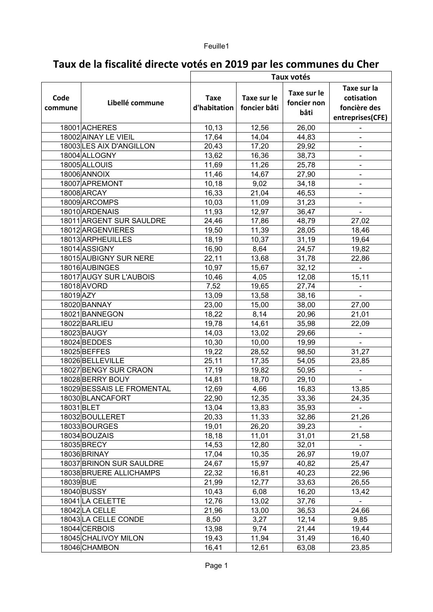# **Taux de la fiscalité directe votés en 2019 par les communes du Cher**

|                 |                            | Taux votés                  |                             |                                    |                                                               |
|-----------------|----------------------------|-----------------------------|-----------------------------|------------------------------------|---------------------------------------------------------------|
| Code<br>commune | Libellé commune            | <b>Taxe</b><br>d'habitation | Taxe sur le<br>foncier bâti | Taxe sur le<br>foncier non<br>bâti | Taxe sur la<br>cotisation<br>foncière des<br>entreprises(CFE) |
|                 | 18001 ACHERES              | 10,13                       | 12,56                       | 26,00                              |                                                               |
|                 | 18002 AINAY LE VIEIL       | 17,64                       | 14,04                       | 44,83                              |                                                               |
|                 | 18003 LES AIX D'ANGILLON   | 20,43                       | 17,20                       | 29,92                              |                                                               |
|                 | 18004 ALLOGNY              | 13,62                       | 16,36                       | 38,73                              |                                                               |
|                 | 18005 ALLOUIS              | 11,69                       | 11,26                       | 25,78                              |                                                               |
|                 | 18006 ANNOIX               | 11,46                       | 14,67                       | 27,90                              |                                                               |
|                 | 18007 APREMONT             | 10,18                       | 9,02                        | 34,18                              | ÷,                                                            |
|                 | 18008 ARCAY                | 16,33                       | 21,04                       | 46,53                              | -                                                             |
|                 | 18009 ARCOMPS              | 10,03                       | 11,09                       | 31,23                              | $\blacksquare$                                                |
|                 | 18010 ARDENAIS             | 11,93                       | 12,97                       | 36,47                              | $\overline{\phantom{0}}$                                      |
|                 | 18011 ARGENT SUR SAULDRE   | 24,46                       | 17,86                       | 48,79                              | 27,02                                                         |
|                 | 18012 ARGENVIERES          | 19,50                       | 11,39                       | 28,05                              | 18,46                                                         |
|                 | 18013 ARPHEUILLES          | 18,19                       | 10,37                       | 31,19                              | 19,64                                                         |
|                 | 18014 ASSIGNY              | 16,90                       | 8,64                        | 24,57                              | 19,82                                                         |
|                 | 18015 AUBIGNY SUR NERE     | 22,11                       | 13,68                       | 31,78                              | 22,86                                                         |
|                 | 18016 AUBINGES             | 10,97                       | 15,67                       | 32,12                              |                                                               |
|                 | 18017 AUGY SUR L'AUBOIS    | 10,46                       | 4,05                        | 12,08                              | 15,11                                                         |
|                 | 18018 AVORD                | 7,52                        | 19,65                       | 27,74                              |                                                               |
| 18019 AZY       |                            | 13,09                       | 13,58                       | 38,16                              |                                                               |
|                 | 18020 BANNAY               | 23,00                       | 15,00                       | 38,00                              | 27,00                                                         |
|                 | 18021 BANNEGON             | 18,22                       | 8,14                        | 20,96                              | 21,01                                                         |
|                 | 18022 BARLIEU              | 19,78                       | 14,61                       | 35,98                              | 22,09                                                         |
|                 | 18023 BAUGY                | 14,03                       | 13,02                       | 29,66                              |                                                               |
|                 | 18024 BEDDES               | 10,30                       | 10,00                       | 19,99                              |                                                               |
|                 | 18025 BEFFES               | 19,22                       | 28,52                       | 98,50                              | 31,27                                                         |
|                 | 18026 BELLEVILLE           | 25,11                       | 17,35                       | 54,05                              | 23,85                                                         |
|                 | 18027 BENGY SUR CRAON      | 17,19                       | 19,82                       | 50,95                              |                                                               |
|                 | 18028 BERRY BOUY           | 14,81                       | 18,70                       | 29,10                              |                                                               |
|                 | 18029 BESSAIS LE FROMENTAL | 12,69                       | 4,66                        | 16,83                              | 13,85                                                         |
|                 | 18030 BLANCAFORT           | 22,90                       | 12,35                       | 33,36                              | 24,35                                                         |
| 18031 BLET      |                            | 13,04                       | 13,83                       | 35,93                              |                                                               |
|                 | 18032 BOULLERET            | 20,33                       | 11,33                       | 32,86                              | 21,26                                                         |
|                 | 18033BOURGES               | 19,01                       | 26,20                       | 39,23                              |                                                               |
|                 | 18034 BOUZAIS              | 18,18                       | 11,01                       | 31,01                              | 21,58                                                         |
|                 | 18035 BRECY                | 14,53                       | 12,80                       | 32,01                              |                                                               |
|                 | 18036 BRINAY               | 17,04                       | 10,35                       | 26,97                              | 19,07                                                         |
|                 | 18037 BRINON SUR SAULDRE   | 24,67                       | 15,97                       | 40,82                              | 25,47                                                         |
|                 | 18038 BRUERE ALLICHAMPS    | 22,32                       | 16,81                       | 40,23                              | 22,96                                                         |
| 18039BUE        |                            | 21,99                       | 12,77                       | 33,63                              | 26,55                                                         |
|                 | 18040 BUSSY                | 10,43                       | 6,08                        | 16,20                              | 13,42                                                         |
|                 | 18041 LA CELETTE           | 12,76                       | 13,02                       | 37,76                              |                                                               |
|                 | 18042 LA CELLE             | 21,96                       | 13,00                       | 36,53                              | 24,66                                                         |
|                 | 18043 LA CELLE CONDE       | 8,50                        | 3,27                        | 12,14                              | 9,85                                                          |
|                 | 18044 CERBOIS              | 13,98                       | 9,74                        | 21,44                              | 19,44                                                         |
|                 | 18045 CHALIVOY MILON       | 19,43                       | 11,94                       | 31,49                              | 16,40                                                         |
|                 | 18046 CHAMBON              | 16,41                       | 12,61                       | 63,08                              | 23,85                                                         |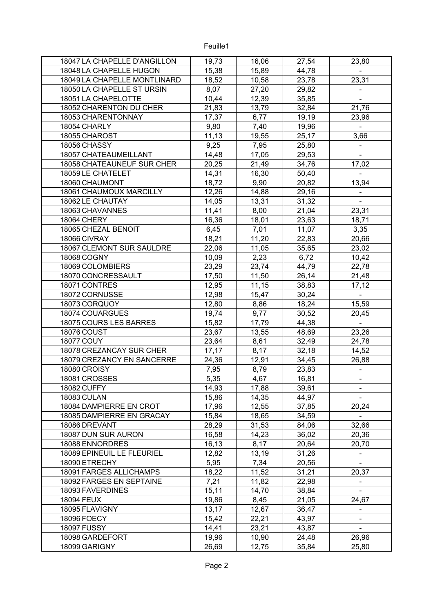| 18047 LA CHAPELLE D'ANGILLON | 19,73  | 16,06          | 27,54          | 23,80                   |
|------------------------------|--------|----------------|----------------|-------------------------|
| 18048 LA CHAPELLE HUGON      | 15,38  | 15,89          | 44,78          |                         |
| 18049 LA CHAPELLE MONTLINARD | 18,52  | 10,58          | 23,78          | 23,31                   |
| 18050 LA CHAPELLE ST URSIN   | 8,07   | 27,20          | 29,82          |                         |
| 18051 LA CHAPELOTTE          | 10,44  | 12,39          | 35,85          |                         |
| 18052 CHARENTON DU CHER      | 21,83  | 13,79          | 32,84          | 21,76                   |
| 18053 CHARENTONNAY           | 17,37  | 6,77           | 19,19          | 23,96                   |
| 18054 CHARLY                 | 9,80   | 7,40           | 19,96          | $\overline{a}$          |
| 18055 CHAROST                | 11,13  | 19,55          | 25,17          | 3,66                    |
| 18056 CHASSY                 | 9,25   | 7,95           | 25,80          |                         |
| 18057 CHATEAUMEILLANT        | 14,48  | 17,05          | 29,53          |                         |
| 18058 CHATEAUNEUF SUR CHER   | 20,25  | 21,49          | 34,76          | 17,02                   |
| 18059LE CHATELET             | 14,31  | 16,30          | 50,40          |                         |
| 18060 CHAUMONT               | 18,72  | 9,90           | 20,82          | 13,94                   |
| 18061 CHAUMOUX MARCILLY      | 12,26  | 14,88          | 29,16          |                         |
| 18062 LE CHAUTAY             | 14,05  | 13,31          | 31,32          |                         |
| 18063 CHAVANNES              | 11,41  | 8,00           | 21,04          | 23,31                   |
| 18064 CHERY                  | 16,36  | 18,01          | 23,63          | 18,71                   |
| 18065 CHEZAL BENOIT          | 6,45   | 7,01           | 11,07          | 3,35                    |
| 18066 CIVRAY                 | 18,21  | 11,20          | 22,83          | 20,66                   |
| 18067 CLEMONT SUR SAULDRE    | 22,06  | 11,05          | 35,65          | 23,02                   |
| 18068 COGNY                  | 10,09  | 2,23           | 6,72           | 10,42                   |
| 18069 COLOMBIERS             | 23,29  | 23,74          | 44,79          | 22,78                   |
| 18070 CONCRESSAULT           | 17,50  | 11,50          | 26,14          | 21,48                   |
| 18071 CONTRES                | 12,95  | 11,15          | 38,83          | 17, 12                  |
| 18072 CORNUSSE               | 12,98  | 15,47          | 30,24          |                         |
| 18073CORQUOY                 | 12,80  | 8,86           | 18,24          | 15,59                   |
| 18074 COUARGUES              | 19,74  | 9,77           | 30,52          | 20,45                   |
| 18075 COURS LES BARRES       | 15,82  |                |                |                         |
| 18076 COUST                  | 23,67  | 17,79<br>13,55 | 44,38<br>48,69 | $\blacksquare$<br>23,26 |
| 18077 COUY                   |        | 8,61           | 32,49          | 24,78                   |
| 18078 CREZANCAY SUR CHER     | 23,64  |                |                |                         |
|                              | 17, 17 | 8,17           | 32,18          | 14,52                   |
| 18079 CREZANCY EN SANCERRE   | 24,36  | 12,91          | 34,45          | 26,88                   |
| 18080 CROISY                 | 7,95   | 8,79           | 23,83          |                         |
| 18081 CROSSES                | 5,35   | 4,67           | 16,81          |                         |
| 18082 CUFFY                  | 14,93  | 17,88          | 39,61          |                         |
| 18083 CULAN                  | 15,86  | 14,35          | 44,97          |                         |
| 18084 DAMPIERRE EN CROT      | 17,96  | 12,55          | 37,85          | 20,24                   |
| 18085 DAMPIERRE EN GRACAY    | 15,84  | 18,65          | 34,59          |                         |
| 18086 DREVANT                | 28,29  | 31,53          | 84,06          | 32,66                   |
| 18087 DUN SUR AURON          | 16,58  | 14,23          | 36,02          | 20,36                   |
| 18088 ENNORDRES              | 16, 13 | 8,17           | 20,64          | 20,70                   |
| 18089 EPINEUIL LE FLEURIEL   | 12,82  | 13,19          | 31,26          | $\blacksquare$          |
| 18090 ETRECHY                | 5,95   | 7,34           | 20,56          |                         |
| 18091 FARGES ALLICHAMPS      | 18,22  | 11,52          | 31,21          | 20,37                   |
| 18092 FARGES EN SEPTAINE     | 7,21   | 11,82          | 22,98          |                         |
| 18093 FAVERDINES             | 15,11  | 14,70          | 38,84          |                         |
| 18094 FEUX                   | 19,86  | 8,45           | 21,05          | 24,67                   |
| 18095 FLAVIGNY               | 13,17  | 12,67          | 36,47          | $\blacksquare$          |
| 18096 FOECY                  | 15,42  | 22,21          | 43,97          |                         |
| 18097 FUSSY                  | 14,41  | 23,21          | 43,87          |                         |
| 18098 GARDEFORT              | 19,96  | 10,90          | 24,48          | 26,96                   |
| 18099 GARIGNY                | 26,69  | 12,75          | 35,84          | 25,80                   |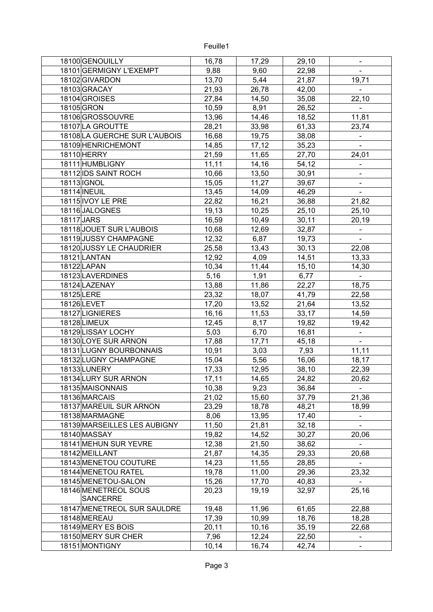| 18100 GENOUILLY                         | 16,78 | 17,29 | 29,10  |                          |
|-----------------------------------------|-------|-------|--------|--------------------------|
| 18101 GERMIGNY L'EXEMPT                 | 9,88  | 9,60  | 22,98  |                          |
| 18102 GIVARDON                          | 13,70 | 5,44  | 21,87  | 19,71                    |
| 18103GRACAY                             | 21,93 | 26,78 | 42,00  |                          |
| 18104 GROISES                           | 27,84 | 14,50 | 35,08  | 22,10                    |
| 18105 GRON                              | 10,59 | 8,91  | 26,52  | $\blacksquare$           |
| 18106 GROSSOUVRE                        | 13,96 | 14,46 | 18,52  | 11,81                    |
| 18107 LA GROUTTE                        | 28,21 | 33,98 | 61,33  | 23,74                    |
| 18108 LA GUERCHE SUR L'AUBOIS           | 16,68 | 19,75 | 38,08  |                          |
| 18109 HENRICHEMONT                      | 14,85 | 17,12 | 35,23  |                          |
| 18110 HERRY                             | 21,59 | 11,65 | 27,70  | 24,01                    |
| 18111 HUMBLIGNY                         | 11,11 | 14,16 | 54,12  | $\overline{\phantom{0}}$ |
| 18112 IDS SAINT ROCH                    | 10,66 | 13,50 | 30,91  |                          |
| 18113 IGNOL                             | 15,05 | 11,27 | 39,67  |                          |
| 18114 INEUIL                            | 13,45 | 14,09 | 46,29  |                          |
| 18115 IVOY LE PRE                       | 22,82 | 16,21 | 36,88  | 21,82                    |
| 18116JALOGNES                           | 19,13 | 10,25 | 25,10  | 25,10                    |
| 18117 JARS                              | 16,59 | 10,49 | 30,11  | 20,19                    |
| 18118 JOUET SUR L'AUBOIS                | 10,68 | 12,69 | 32,87  |                          |
| 18119 JUSSY CHAMPAGNE                   | 12,32 | 6,87  | 19,73  |                          |
| 18120 JUSSY LE CHAUDRIER                | 25,58 | 13,43 | 30, 13 | 22,08                    |
| 18121 LANTAN                            | 12,92 | 4,09  | 14,51  | 13,33                    |
| 18122 LAPAN                             | 10,34 | 11,44 |        | 14,30                    |
| 18123 LAVERDINES                        |       |       | 15,10  | $\blacksquare$           |
|                                         | 5,16  | 1,91  | 6,77   |                          |
| 18124 LAZENAY                           | 13,88 | 11,86 | 22,27  | 18,75                    |
| 18125 LERE                              | 23,32 | 18,07 | 41,79  | 22,58                    |
| 18126 LEVET                             | 17,20 | 13,52 | 21,64  | 13,52                    |
| 18127 LIGNIERES                         | 16,16 | 11,53 | 33,17  | 14,59                    |
| 18128 LIMEUX                            | 12,45 | 8,17  | 19,82  | 19,42                    |
| 18129 LISSAY LOCHY                      | 5,03  | 6,70  | 16,81  |                          |
| 18130 LOYE SUR ARNON                    | 17,88 | 17,71 | 45,18  |                          |
| 18131 LUGNY BOURBONNAIS                 | 10,91 | 3,03  | 7,93   | 11,11                    |
| 18132 LUGNY CHAMPAGNE                   | 15,04 | 5,56  | 16,06  | 18,17                    |
| 18133LUNERY                             | 17,33 | 12,95 | 38,10  | 22,39                    |
| 18134 LURY SUR ARNON                    | 17,11 | 14,65 | 24,82  | 20,62                    |
| 18135 MAISONNAIS                        | 10,38 | 9,23  | 36,84  |                          |
| 18136 MARCAIS                           | 21,02 | 15,60 | 37,79  | 21,36                    |
| 18137 MAREUIL SUR ARNON                 | 23,29 | 18,78 | 48,21  | 18,99                    |
| 18138 MARMAGNE                          | 8,06  | 13,95 | 17,40  |                          |
| 18139 MARSEILLES LES AUBIGNY            | 11,50 | 21,81 | 32,18  |                          |
| 18140 MASSAY                            | 19,82 | 14,52 | 30,27  | 20,06                    |
| 18141 MEHUN SUR YEVRE                   | 12,38 | 21,50 | 38,62  | $\blacksquare$           |
| 18142 MEILLANT                          | 21,87 | 14,35 | 29,33  | 20,68                    |
| 18143 MENETOU COUTURE                   | 14,23 | 11,55 | 28,85  | $\blacksquare$           |
| 18144 MENETOU RATEL                     | 19,78 | 11,00 | 29,36  | 23,32                    |
| 18145 MENETOU-SALON                     | 15,26 | 17,70 | 40,83  |                          |
| 18146 MENETREOL SOUS<br><b>SANCERRE</b> | 20,23 | 19,19 | 32,97  | 25,16                    |
| 18147 MENETREOL SUR SAULDRE             | 19,48 | 11,96 | 61,65  | 22,88                    |
| 18148 MEREAU                            | 17,39 | 10,99 | 18,76  | 18,28                    |
| 18149 MERY ES BOIS                      | 20,11 | 10,16 | 35,19  | 22,68                    |
| 18150 MERY SUR CHER                     | 7,96  | 12,24 | 22,50  |                          |
| 18151 MONTIGNY                          | 10,14 | 16,74 | 42,74  |                          |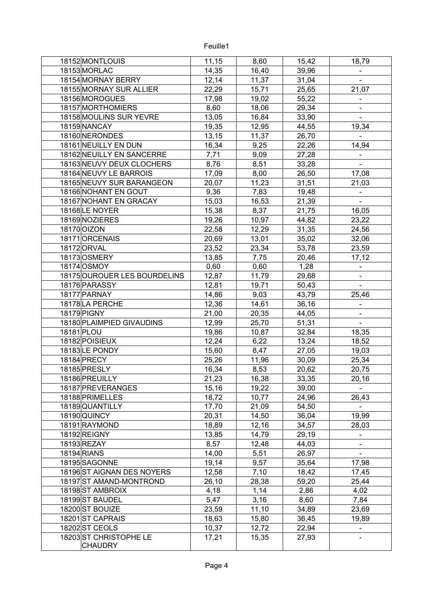| 18152 MONTLOUIS              | 11,15 | 8,60  | 15,42          | 18,79          |
|------------------------------|-------|-------|----------------|----------------|
| 18153 MORLAC                 | 14,35 | 16,40 | 39,96          |                |
| 18154 MORNAY BERRY           | 12,14 | 11,37 | 31,04          |                |
| 18155 MORNAY SUR ALLIER      | 22,29 | 15,71 | 25,65          | 21,07          |
| 18156 MOROGUES               | 17,98 | 19,02 | 55,22          |                |
| 18157 MORTHOMIERS            | 8,60  | 18,06 | 29,34          |                |
| 18158 MOULINS SUR YEVRE      | 13,05 | 16,84 | 33,90          |                |
| 18159 NANCAY                 | 19,35 | 12,95 | 44,55          | 19,34          |
| 18160 NERONDES               | 13,15 | 11,37 | 26,70          |                |
| 18161 NEUILLY EN DUN         | 16,34 | 9,25  | 22,26          | 14,94          |
| 18162 NEUILLY EN SANCERRE    | 7,71  | 9,09  | 27,28          |                |
| 18163 NEUVY DEUX CLOCHERS    | 8,76  | 8,51  | 33,28          | $\blacksquare$ |
| 18164 NEUVY LE BARROIS       | 17,09 | 8,00  | 26,50          | 17,08          |
| 18165 NEUVY SUR BARANGEON    | 20,07 | 11,23 | 31,51          | 21,03          |
| 18166 NOHANT EN GOUT         | 9,36  | 7,83  | 19,48          |                |
| 18167 NOHANT EN GRACAY       | 15,03 | 16,53 | 21,39          |                |
| 18168LE NOYER                | 15,38 | 8,37  | 21,75          | 16,05          |
| 18169 NOZIERES               | 19,26 | 10,97 | 44,82          | 23,22          |
| 18170 OIZON                  | 22,58 | 12,29 | 31,35          | 24,56          |
| 18171 ORCENAIS               | 20,69 | 13,01 | 35,02          | 32,06          |
| 18172 ORVAL                  | 23,52 | 23,34 | 53,78          | 23,59          |
| 18173 OSMERY                 | 13,85 | 7,75  | 20,46          | 17, 12         |
| 18174 OSMOY                  | 0,60  | 0,60  | 1,28           |                |
| 18175 OUROUER LES BOURDELINS | 12,87 | 11,79 | 29,68          |                |
| 18176 PARASSY                | 12,81 | 19,71 | 50,43          | $\blacksquare$ |
| 18177 PARNAY                 | 14,86 | 9,03  | 43,79          | 25,46          |
| 18178 LA PERCHE              | 12,36 | 14,61 | 36,16          |                |
| 18179 PIGNY                  | 21,00 | 20,35 | 44,05          |                |
| 18180 PLAIMPIED GIVAUDINS    | 12,99 | 25,70 | 51,31          | $\blacksquare$ |
| 18181 PLOU                   | 19,86 | 10,87 | 32,84          | 18,35          |
| 18182 POISIEUX               | 12,24 | 6,22  | 13,24          | 18,52          |
| 18183LE PONDY                | 15,60 | 8,47  | 27,05          | 19,03          |
| 18184 PRECY                  | 25,26 | 11,96 | 30,09          | 25,34          |
| 18185 PRESLY                 | 16,34 | 8,53  | 20,62          | 20,75          |
| 18186 PREUILLY               | 21,23 | 16,38 | 33,35          | 20,16          |
| 18187 PREVERANGES            | 15,16 | 19,22 | 39,00          |                |
| 18188 PRIMELLES              | 18,72 | 10,77 | 24,96          | 26,43          |
| 18189 QUANTILLY              | 17,70 | 21,09 | 54,50          |                |
| 18190 QUINCY                 | 20,31 | 14,50 | 36,04          | 19,99          |
| 18191 RAYMOND                | 18,89 | 12,16 | 34,57          | 28,03          |
| 18192 REIGNY                 | 13,85 | 14,79 | 29,19          |                |
| 18193 REZAY                  | 8,57  |       |                |                |
| 18194 RIANS                  |       | 12,48 | 44,03<br>26,97 |                |
|                              | 14,00 | 5,51  |                |                |
| 18195 SAGONNE                | 19,14 | 9,57  | 35,64          | 17,98          |
| 18196 ST AIGNAN DES NOYERS   | 12,58 | 7,10  | 18,42          | 17,45          |
| 18197 ST AMAND-MONTROND      | 26,10 | 28,38 | 59,20          | 25,44          |
| 18198 ST AMBROIX             | 4,18  | 1,14  | 2,86           | 4,02           |
| 18199 ST BAUDEL              | 5,47  | 3,16  | 8,60           | 7,84           |
| 18200 ST BOUIZE              | 23,59 | 11,10 | 34,89          | 23,69          |
| 18201 ST CAPRAIS             | 18,63 | 15,80 | 36,45          | 19,89          |
| 18202ST CEOLS                | 10,37 | 12,72 | 22,94          |                |
| 18203 ST CHRISTOPHE LE       | 17,21 | 15,35 | 27,93          |                |
| <b>CHAUDRY</b>               |       |       |                |                |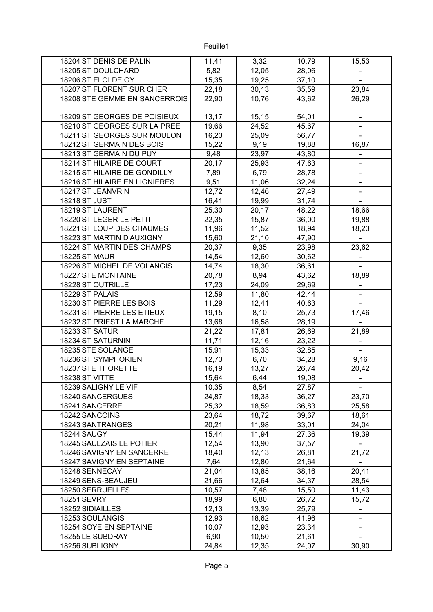| 18204 ST DENIS DE PALIN       | 11,41  | 3,32   | 10,79 | 15,53          |
|-------------------------------|--------|--------|-------|----------------|
| 18205 ST DOULCHARD            | 5,82   | 12,05  | 28,06 |                |
| 18206 ST ELOI DE GY           | 15,35  | 19,25  | 37,10 |                |
| 18207 ST FLORENT SUR CHER     | 22,18  | 30, 13 | 35,59 | 23,84          |
| 18208 STE GEMME EN SANCERROIS | 22,90  | 10,76  | 43,62 | 26,29          |
| 18209 ST GEORGES DE POISIEUX  | 13,17  | 15, 15 | 54,01 |                |
| 18210 ST GEORGES SUR LA PREE  | 19,66  | 24,52  | 45,67 |                |
| 18211 ST GEORGES SUR MOULON   | 16,23  | 25,09  | 56,77 |                |
| 18212 ST GERMAIN DES BOIS     | 15,22  | 9,19   | 19,88 | 16,87          |
| 18213 ST GERMAIN DU PUY       | 9,48   | 23,97  | 43,80 |                |
| 18214 ST HILAIRE DE COURT     | 20,17  | 25,93  | 47,63 |                |
| 18215 ST HILAIRE DE GONDILLY  | 7,89   | 6,79   | 28,78 | $\frac{1}{2}$  |
| 18216 ST HILAIRE EN LIGNIERES | 9,51   | 11,06  | 32,24 | Ξ.             |
| 18217 ST JEANVRIN             | 12,72  | 12,46  | 27,49 |                |
| 18218 ST JUST                 | 16,41  | 19,99  | 31,74 |                |
| 18219 ST LAURENT              | 25,30  | 20,17  | 48,22 | 18,66          |
| 18220 ST LEGER LE PETIT       | 22,35  | 15,87  | 36,00 | 19,88          |
| 18221 ST LOUP DES CHAUMES     |        | 11,52  |       |                |
|                               | 11,96  |        | 18,94 | 18,23          |
| 18223 ST MARTIN D'AUXIGNY     | 15,60  | 21,10  | 47,90 |                |
| 18224 ST MARTIN DES CHAMPS    | 20,37  | 9,35   | 23,98 | 23,62          |
| 18225 ST MAUR                 | 14,54  | 12,60  | 30,62 |                |
| 18226 ST MICHEL DE VOLANGIS   | 14,74  | 18,30  | 36,61 |                |
| 18227 STE MONTAINE            | 20,78  | 8,94   | 43,62 | 18,89          |
| 18228 ST OUTRILLE             | 17,23  | 24,09  | 29,69 |                |
| 18229ST PALAIS                | 12,59  | 11,80  | 42,44 |                |
| 18230 ST PIERRE LES BOIS      | 11,29  | 12,41  | 40,63 |                |
| 18231 ST PIERRE LES ETIEUX    | 19,15  | 8,10   | 25,73 | 17,46          |
| 18232 ST PRIEST LA MARCHE     | 13,68  | 16,58  | 28,19 |                |
| 18233ST SATUR                 | 21,22  | 17,81  | 26,69 | 21,89          |
| 18234 ST SATURNIN             | 11,71  | 12,16  | 23,22 |                |
| 18235 STE SOLANGE             | 15,91  | 15,33  | 32,85 |                |
| 18236 ST SYMPHORIEN           | 12,73  | 6,70   | 34,28 | 9,16           |
| 18237 STE THORETTE            | 16,19  | 13,27  | 26,74 | 20,42          |
| 18238 ST VITTE                | 15,64  | 6,44   | 19,08 |                |
| 18239 SALIGNY LE VIF          | 10,35  | 8,54   | 27,87 | $\blacksquare$ |
| 18240 SANCERGUES              | 24,87  | 18,33  | 36,27 | 23,70          |
| 18241 SANCERRE                | 25,32  | 18,59  | 36,83 | 25,58          |
| 18242 SANCOINS                | 23,64  | 18,72  | 39,67 | 18,61          |
| 18243 SANTRANGES              | 20,21  | 11,98  | 33,01 | 24,04          |
| 18244 SAUGY                   | 15,44  | 11,94  | 27,36 | 19,39          |
| 18245 SAULZAIS LE POTIER      | 12,54  | 13,90  | 37,57 |                |
| 18246 SAVIGNY EN SANCERRE     | 18,40  | 12, 13 | 26,81 | 21,72          |
| 18247 SAVIGNY EN SEPTAINE     | 7,64   | 12,80  | 21,64 | $\blacksquare$ |
| 18248 SENNECAY                | 21,04  | 13,85  | 38,16 | 20,41          |
| 18249 SENS-BEAUJEU            | 21,66  | 12,64  | 34,37 | 28,54          |
| 18250 SERRUELLES              | 10,57  | 7,48   | 15,50 | 11,43          |
| 18251 SEVRY                   | 18,99  | 6,80   | 26,72 | 15,72          |
| 18252 SIDIAILLES              | 12, 13 | 13,39  | 25,79 | $\blacksquare$ |
| 18253 SOULANGIS               | 12,93  | 18,62  | 41,96 |                |
| 18254 SOYE EN SEPTAINE        | 10,07  | 12,93  | 23,34 |                |
| 18255 LE SUBDRAY              | 6,90   | 10,50  | 21,61 |                |
| 18256 SUBLIGNY                | 24,84  | 12,35  | 24,07 | 30,90          |